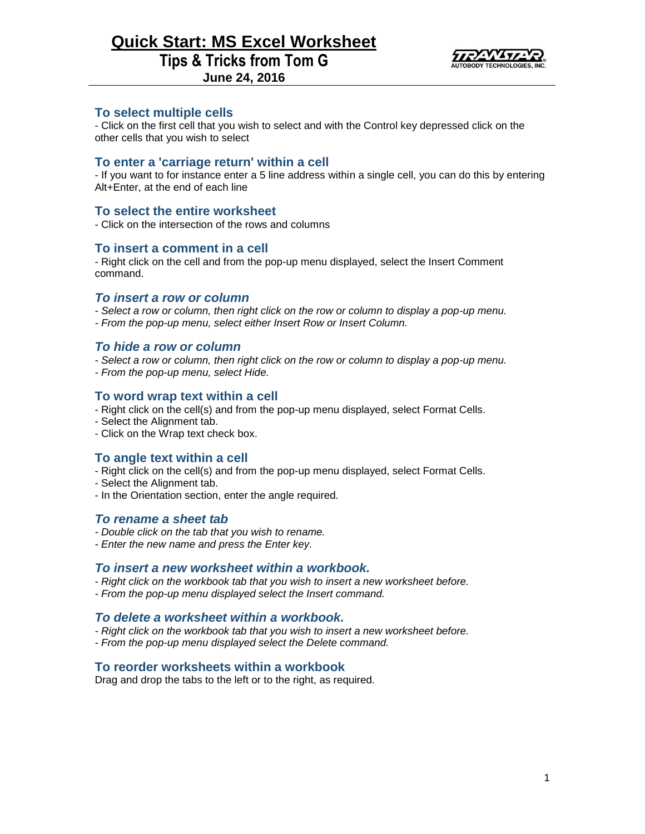# **Quick Start: MS Excel Worksheet Tips & Tricks from Tom G**



**June 24, 2016**

# **To select multiple cells**

- Click on the first cell that you wish to select and with the Control key depressed click on the other cells that you wish to select

# **To enter a 'carriage return' within a cell**

- If you want to for instance enter a 5 line address within a single cell, you can do this by entering Alt+Enter, at the end of each line

# **To select the entire worksheet**

- Click on the intersection of the rows and columns

## **To insert a comment in a cell**

- Right click on the cell and from the pop-up menu displayed, select the Insert Comment command.

### *To insert a row or column*

- *- Select a row or column, then right click on the row or column to display a pop-up menu.*
- *- From the pop-up menu, select either Insert Row or Insert Column.*

#### *To hide a row or column*

- *- Select a row or column, then right click on the row or column to display a pop-up menu.*
- *- From the pop-up menu, select Hide.*

## **To word wrap text within a cell**

- Right click on the cell(s) and from the pop-up menu displayed, select Format Cells.
- Select the Alignment tab.
- Click on the Wrap text check box.

# **To angle text within a cell**

- Right click on the cell(s) and from the pop-up menu displayed, select Format Cells.
- Select the Alignment tab.
- In the Orientation section, enter the angle required.

#### *To rename a sheet tab*

- *- Double click on the tab that you wish to rename.*
- *- Enter the new name and press the Enter key.*

#### *To insert a new worksheet within a workbook.*

- *- Right click on the workbook tab that you wish to insert a new worksheet before.*
- *- From the pop-up menu displayed select the Insert command.*

## *To delete a worksheet within a workbook.*

- *- Right click on the workbook tab that you wish to insert a new worksheet before.*
- *- From the pop-up menu displayed select the Delete command.*

## **To reorder worksheets within a workbook**

Drag and drop the tabs to the left or to the right, as required.